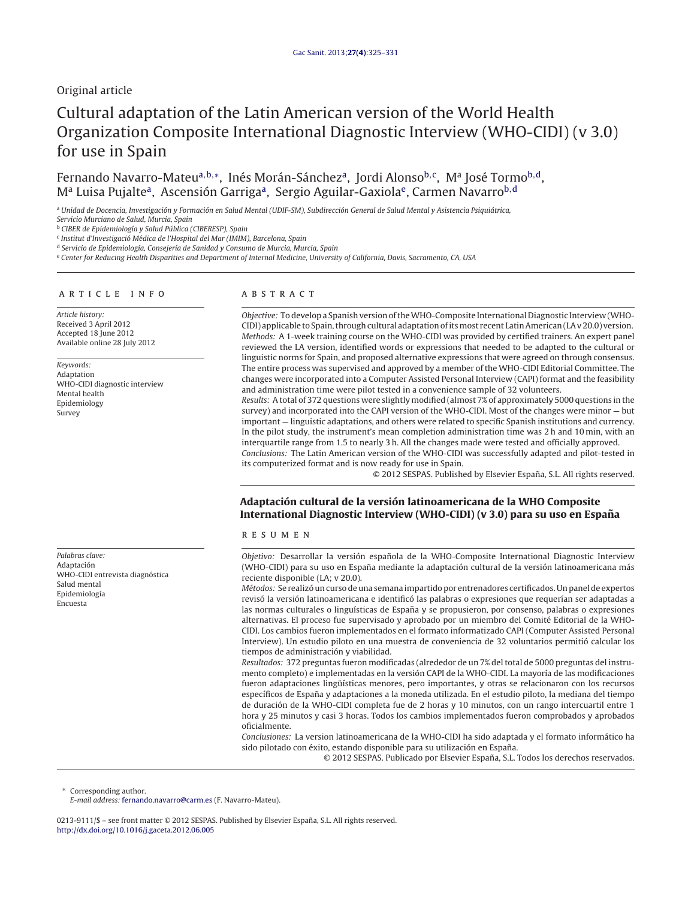# Original article

# Cultural adaptation of the Latin American version of the World Health Organization Composite International Diagnostic Interview (WHO-CIDI) (v 3.0) for use in Spain

Fernando Navarro-Mateu<sup>a, b,</sup>\*, Inés Morán-Sánchez<sup>a</sup>, Jordi Alonso<sup>b, c</sup>, M<sup>a</sup> José Tormo<sup>b, d</sup>, M<sup>a</sup> Luisa Pujalte<sup>a</sup>, Ascensión Garriga<sup>a</sup>, Sergio Aguilar-Gaxiola<sup>e</sup>, Carmen Navarro<sup>b, d</sup>

<sup>a</sup> Unidad de Docencia, Investigación y Formación en Salud Mental (UDIF-SM), Subdirección General de Salud Mental y Asistencia Psiquiátrica,

Servicio Murciano de Salud, Murcia, Spain

<sup>b</sup> CIBER de Epidemiología y Salud Pública (CIBERESP), Spain

<sup>c</sup> Institut d'Investigació Médica de l'Hospital del Mar (IMIM), Barcelona, Spain

<sup>d</sup> Servicio de Epidemiología, Consejería de Sanidad y Consumo de Murcia, Murcia, Spain

<sup>e</sup> Center for Reducing Health Disparities and Department of Internal Medicine, University of California, Davis, Sacramento, CA, USA

## a r t i c l e i n f o

Article history: Received 3 April 2012 Accepted 18 June 2012 Available online 28 July 2012

Keywords: Adaptation WHO-CIDI diagnostic interview Mental health Epidemiology Survey

Palabras clave: Adaptación WHO-CIDI entrevista diagnóstica Salud mental Epidemiología Encuesta

# a b s t r a c t

Objective: To develop a Spanish version of the WHO-Composite International Diagnostic Interview (WHO-CIDI) applicable to Spain, through cultural adaptation of its most recent Latin American (LA v 20.0) version. Methods: A 1-week training course on the WHO-CIDI was provided by certified trainers. An expert panel reviewed the LA version, identified words or expressions that needed to be adapted to the cultural or linguistic norms for Spain, and proposed alternative expressions that were agreed on through consensus. The entire process was supervised and approved by a member of the WHO-CIDI Editorial Committee. The changes were incorporated into a Computer Assisted Personal Interview (CAPI) format and the feasibility and administration time were pilot tested in a convenience sample of 32 volunteers.

Results: A total of 372 questions were slightly modified (almost 7% of approximately 5000 questions in the survey) and incorporated into the CAPI version of the WHO-CIDI. Most of the changes were minor — but important — linguistic adaptations, and others were related to specific Spanish institutions and currency. In the pilot study, the instrument's mean completion administration time was 2 h and 10 min, with an interquartile range from 1.5 to nearly 3 h. All the changes made were tested and officially approved. Conclusions: The Latin American version of the WHO-CIDI was successfully adapted and pilot-tested in its computerized format and is now ready for use in Spain.

© 2012 SESPAS. Published by Elsevier España, S.L. All rights reserved.

## **Adaptación cultural de la versión latinoamericana de la WHO Composite International Diagnostic Interview (WHO-CIDI) (v 3.0) para su uso en Espana˜**

## r e s u m e n

Objetivo: Desarrollar la versión española de la WHO-Composite International Diagnostic Interview (WHO-CIDI) para su uso en España mediante la adaptación cultural de la versión latinoamericana más reciente disponible (LA; v 20.0).

Métodos: Se realizó un curso de una semana impartido por entrenadores certificados. Un panel de expertos revisó la versión latinoamericana e identificó las palabras o expresiones que requerían ser adaptadas a las normas culturales o linguísticas de España y se propusieron, por consenso, palabras o expresiones alternativas. El proceso fue supervisado y aprobado por un miembro del Comité Editorial de la WHO-CIDI. Los cambios fueron implementados en el formato informatizado CAPI (Computer Assisted Personal Interview). Un estudio piloto en una muestra de conveniencia de 32 voluntarios permitió calcular los tiempos de administración y viabilidad.

Resultados: 372 preguntas fueron modificadas (alrededor de un 7% del total de 5000 preguntas del instrumento completo) e implementadas en la versión CAPI de la WHO-CIDI. La mayoría de las modificaciones fueron adaptaciones lingüísticas menores, pero importantes, y otras se relacionaron con los recursos específicos de España y adaptaciones a la moneda utilizada. En el estudio piloto, la mediana del tiempo de duración de la WHO-CIDI completa fue de 2 horas y 10 minutos, con un rango intercuartil entre 1 hora y 25 minutos y casi 3 horas. Todos los cambios implementados fueron comprobados y aprobados oficialmente.

Conclusiones: La version latinoamericana de la WHO-CIDI ha sido adaptada y el formato informático ha sido pilotado con éxito, estando disponible para su utilización en España.

© 2012 SESPAS. Publicado por Elsevier España, S.L. Todos los derechos reservados.

∗ Corresponding author.

E-mail address: [fernando.navarro@carm.es](mailto:fernando.navarro@carm.es) (F. Navarro-Mateu).

0213-9111/\$ – see front matter © 2012 SESPAS. Published by Elsevier España, S.L. All rights reserved. [http://dx.doi.org/10.1016/j.gaceta.2012.06.005](dx.doi.org/10.1016/j.gaceta.2012.06.005)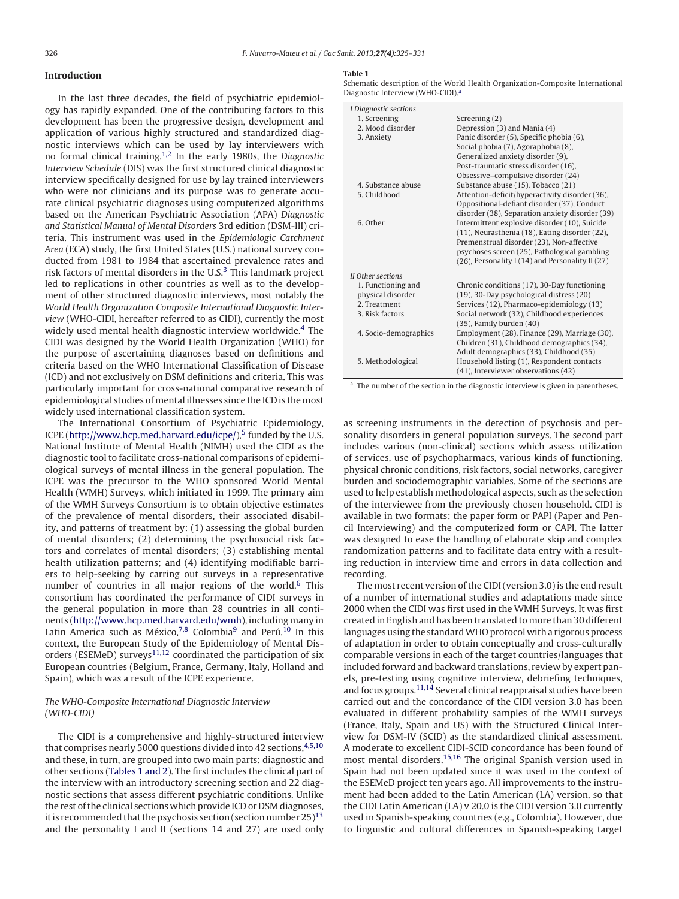## **Introduction**

In the last three decades, the field of psychiatric epidemiology has rapidly expanded. One of the contributing factors to this development has been the progressive design, development and application of various highly structured and standardized diagnostic interviews which can be used by lay interviewers with no formal clinical training[.1,2](#page-6-0) In the early 1980s, the Diagnostic Interview Schedule (DIS) was the first structured clinical diagnostic interview specifically designed for use by lay trained interviewers who were not clinicians and its purpose was to generate accurate clinical psychiatric diagnoses using computerized algorithms based on the American Psychiatric Association (APA) Diagnostic and Statistical Manual of Mental Disorders 3rd edition (DSM-III) criteria. This instrument was used in the Epidemiologic Catchment Area (ECA) study, the first United States (U.S.) national survey conducted from 1981 to 1984 that ascertained prevalence rates and risk factors of mental disorders in the U.S.<sup>[3](#page-6-0)</sup> This landmark project led to replications in other countries as well as to the development of other structured diagnostic interviews, most notably the World Health Organization Composite International Diagnostic Interview (WHO-CIDI, hereafter referred to as CIDI), currently the most widely used mental health diagnostic interview worldwide.[4](#page-6-0) The CIDI was designed by the World Health Organization (WHO) for the purpose of ascertaining diagnoses based on definitions and criteria based on the WHO International Classification of Disease (ICD) and not exclusively on DSM definitions and criteria. This was particularly important for cross-national comparative research of epidemiological studies of mental illnesses since the ICD is the most widely used international classification system.

The International Consortium of Psychiatric Epidemiology, ICPE (<http://www.hcp.med.harvard.edu/icpe/>), $5$  funded by the U.S. National Institute of Mental Health (NIMH) used the CIDI as the diagnostic tool to facilitate cross-national comparisons of epidemiological surveys of mental illness in the general population. The ICPE was the precursor to the WHO sponsored World Mental Health (WMH) Surveys, which initiated in 1999. The primary aim of the WMH Surveys Consortium is to obtain objective estimates of the prevalence of mental disorders, their associated disability, and patterns of treatment by: (1) assessing the global burden of mental disorders; (2) determining the psychosocial risk factors and correlates of mental disorders; (3) establishing mental health utilization patterns; and (4) identifying modifiable barriers to help-seeking by carring out surveys in a representative number of countries in all major regions of the world. $6$  This consortium has coordinated the performance of CIDI surveys in the general population in more than 28 countries in all continents (<http://www.hcp.med.harvard.edu/wmh>), including many in Latin America such as México,<sup>[7,8](#page-6-0)</sup> Colombia<sup>[9](#page-6-0)</sup> and Perú.<sup>[10](#page-6-0)</sup> In this context, the European Study of the Epidemiology of Mental Dis-orders (ESEMeD) surveys<sup>[11,12](#page-6-0)</sup> coordinated the participation of six European countries (Belgium, France, Germany, Italy, Holland and Spain), which was a result of the ICPE experience.

## The WHO-Composite International Diagnostic Interview (WHO-CIDI)

The CIDI is a comprehensive and highly-structured interview that comprises nearly 5000 questions divided into 42 sections, [4,5,10](#page-6-0) and these, in turn, are grouped into two main parts: diagnostic and other sections (Tables 1 and 2). The first includes the clinical part of the interview with an introductory screening section and 22 diagnostic sections that assess different psychiatric conditions. Unlike the rest of the clinical sections which provide ICD or DSM diagnoses, it is recommended that the psychosis section (section number  $25)^{13}$  $25)^{13}$  $25)^{13}$ and the personality I and II (sections 14 and 27) are used only

#### **Table 1**

| Schematic description of the World Health Organization-Composite International |
|--------------------------------------------------------------------------------|
| Diagnostic Interview (WHO-CIDI). <sup>a</sup>                                  |

| I Diagnostic sections    |                                                  |
|--------------------------|--------------------------------------------------|
| 1. Screening             | Screening $(2)$                                  |
| 2. Mood disorder         | Depression (3) and Mania (4)                     |
| 3. Anxiety               | Panic disorder (5), Specific phobia (6),         |
|                          | Social phobia (7), Agoraphobia (8),              |
|                          | Generalized anxiety disorder (9),                |
|                          | Post-traumatic stress disorder (16),             |
|                          | Obsessive-compulsive disorder (24)               |
| 4. Substance abuse       | Substance abuse (15), Tobacco (21)               |
| 5. Childhood             | Attention-deficit/hyperactivity disorder (36),   |
|                          | Oppositional-defiant disorder (37), Conduct      |
|                          | disorder (38), Separation anxiety disorder (39)  |
| 6. Other                 | Intermittent explosive disorder (10), Suicide    |
|                          | (11), Neurasthenia (18), Eating disorder (22),   |
|                          | Premenstrual disorder (23), Non-affective        |
|                          | psychoses screen (25), Pathological gambling     |
|                          | (26), Personality I (14) and Personality II (27) |
| <b>II</b> Other sections |                                                  |
| 1. Functioning and       | Chronic conditions (17), 30-Day functioning      |
| physical disorder        | (19), 30-Day psychological distress (20)         |
| 2. Treatment             | Services (12), Pharmaco-epidemiology (13)        |
| 3. Risk factors          | Social network (32), Childhood experiences       |
|                          | $(35)$ , Family burden $(40)$                    |
| 4. Socio-demographics    | Employment (28), Finance (29), Marriage (30),    |
|                          | Children (31), Childhood demographics (34),      |
|                          | Adult demographics (33), Childhood (35)          |
| 5. Methodological        | Household listing (1), Respondent contacts       |
|                          | (41), Interviewer observations (42)              |

<sup>a</sup> The number of the section in the diagnostic interview is given in parentheses.

as screening instruments in the detection of psychosis and personality disorders in general population surveys. The second part includes various (non-clinical) sections which assess utilization of services, use of psychopharmacs, various kinds of functioning, physical chronic conditions, risk factors, social networks, caregiver burden and sociodemographic variables. Some of the sections are used to help establish methodological aspects, such as the selection of the interviewee from the previously chosen household. CIDI is available in two formats: the paper form or PAPI (Paper and Pencil Interviewing) and the computerized form or CAPI. The latter was designed to ease the handling of elaborate skip and complex randomization patterns and to facilitate data entry with a resulting reduction in interview time and errors in data collection and recording.

The most recent version of the CIDI (version 3.0) is the end result of a number of international studies and adaptations made since 2000 when the CIDI was first used in the WMH Surveys. It was first created in English and has been translated to more than 30 different languages using the standard WHO protocol with a rigorous process of adaptation in order to obtain conceptually and cross-culturally comparable versions in each of the target countries/languages that included forward and backward translations, review by expert panels, pre-testing using cognitive interview, debriefing techniques, and focus groups.<sup>[11,14](#page-6-0)</sup> Several clinical reappraisal studies have been carried out and the concordance of the CIDI version 3.0 has been evaluated in different probability samples of the WMH surveys (France, Italy, Spain and US) with the Structured Clinical Interview for DSM-IV (SCID) as the standardized clinical assessment. A moderate to excellent CIDI-SCID concordance has been found of most mental disorders[.15,16](#page-6-0) The original Spanish version used in Spain had not been updated since it was used in the context of the ESEMeD project ten years ago. All improvements to the instrument had been added to the Latin American (LA) version, so that the CIDI Latin American (LA) v 20.0 is the CIDI version 3.0 currently used in Spanish-speaking countries (e.g., Colombia). However, due to linguistic and cultural differences in Spanish-speaking target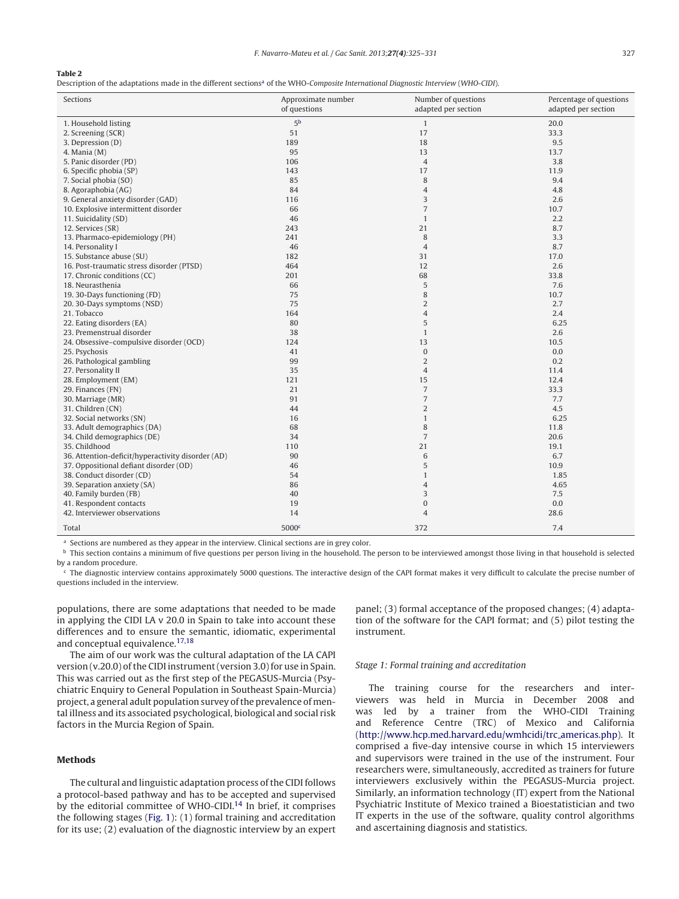#### <span id="page-2-0"></span>**Table 2**

Description of the adaptations made in the different sections<sup>a</sup> of the WHO-Composite International Diagnostic Interview (WHO-CIDI).

| Sections                                          | Approximate number<br>of questions | Number of questions<br>adapted per section | Percentage of questions<br>adapted per section |
|---------------------------------------------------|------------------------------------|--------------------------------------------|------------------------------------------------|
| 1. Household listing                              | 5 <sup>b</sup>                     | $\mathbf{1}$                               | 20.0                                           |
| 2. Screening (SCR)                                | 51                                 | 17                                         | 33.3                                           |
| 3. Depression (D)                                 | 189                                | 18                                         | 9.5                                            |
| 4. Mania $(M)$                                    | 95                                 | 13                                         | 13.7                                           |
| 5. Panic disorder (PD)                            | 106                                | $\overline{4}$                             | 3.8                                            |
| 6. Specific phobia (SP)                           | 143                                | 17                                         | 11.9                                           |
| 7. Social phobia (SO)                             | 85                                 | 8                                          | 9.4                                            |
| 8. Agoraphobia (AG)                               | 84                                 | 4                                          | 4.8                                            |
| 9. General anxiety disorder (GAD)                 | 116                                | 3                                          | 2.6                                            |
| 10. Explosive intermittent disorder               | 66                                 | 7                                          | 10.7                                           |
| 11. Suicidality (SD)                              | 46                                 | $\mathbf{1}$                               | 2.2                                            |
| 12. Services (SR)                                 | 243                                | 21                                         | 8.7                                            |
| 13. Pharmaco-epidemiology (PH)                    | 241                                | 8                                          | 3.3                                            |
| 14. Personality I                                 | 46                                 | $\overline{4}$                             | 8.7                                            |
| 15. Substance abuse (SU)                          | 182                                | 31                                         | 17.0                                           |
| 16. Post-traumatic stress disorder (PTSD)         | 464                                | 12                                         | 2.6                                            |
| 17. Chronic conditions (CC)                       | 201                                | 68                                         | 33.8                                           |
| 18. Neurasthenia                                  | 66                                 | 5                                          | 7.6                                            |
| 19.30-Days functioning (FD)                       | 75                                 | 8                                          | 10.7                                           |
| 20. 30-Days symptoms (NSD)                        | 75                                 | $\overline{2}$                             | 2.7                                            |
| 21. Tobacco                                       | 164                                | $\overline{4}$                             | 2.4                                            |
| 22. Eating disorders (EA)                         | 80                                 | 5                                          | 6.25                                           |
| 23. Premenstrual disorder                         | 38                                 | $\mathbf{1}$                               | 2.6                                            |
| 24. Obsessive-compulsive disorder (OCD)           | 124                                | 13                                         | 10.5                                           |
| 25. Psychosis                                     | 41                                 | $\boldsymbol{0}$                           | 0.0                                            |
| 26. Pathological gambling                         | 99                                 | $\overline{2}$                             | 0.2                                            |
| 27. Personality II                                | 35                                 | $\overline{4}$                             | 11.4                                           |
| 28. Employment (EM)                               | 121                                | 15                                         | 12.4                                           |
| 29. Finances (FN)                                 | 21                                 | 7                                          | 33.3                                           |
| 30. Marriage (MR)                                 | 91                                 | $\overline{7}$                             | 7.7                                            |
| 31. Children (CN)                                 | 44                                 | $\overline{2}$                             | 4.5                                            |
| 32. Social networks (SN)                          | 16                                 | $\mathbf{1}$                               | 6.25                                           |
| 33. Adult demographics (DA)                       | 68                                 | 8                                          | 11.8                                           |
| 34. Child demographics (DE)                       | 34                                 | $\overline{7}$                             | 20.6                                           |
| 35. Childhood                                     | 110                                | 21                                         | 19.1                                           |
| 36. Attention-deficit/hyperactivity disorder (AD) | 90                                 | 6                                          | 6.7                                            |
| 37. Oppositional defiant disorder (OD)            | 46                                 | 5                                          | 10.9                                           |
| 38. Conduct disorder (CD)                         | 54                                 | $\mathbf{1}$                               | 1.85                                           |
| 39. Separation anxiety (SA)                       | 86                                 | $\overline{4}$                             | 4.65                                           |
| 40. Family burden (FB)                            | 40                                 | 3                                          | 7.5                                            |
| 41. Respondent contacts                           | 19                                 | $\bf{0}$                                   | 0.0                                            |
| 42. Interviewer observations                      | 14                                 | $\overline{4}$                             | 28.6                                           |
| Total                                             | 5000 <sup>c</sup>                  | 372                                        | 7.4                                            |

<sup>a</sup> Sections are numbered as they appear in the interview. Clinical sections are in grey color.

**b** This section contains a minimum of five questions per person living in the household. The person to be interviewed amongst those living in that household is selected by a random procedure.

<sup>c</sup> The diagnostic interview contains approximately 5000 questions. The interactive design of the CAPI format makes it very difficult to calculate the precise number of questions included in the interview.

populations, there are some adaptations that needed to be made in applying the CIDI LA v 20.0 in Spain to take into account these differences and to ensure the semantic, idiomatic, experimental and conceptual equivalence.[17,18](#page-6-0)

The aim of our work was the cultural adaptation of the LA CAPI version  $(v.20.0)$  of the CIDI instrument (version 3.0) for use in Spain. This was carried out as the first step of the PEGASUS-Murcia (Psychiatric Enquiry to General Population in Southeast Spain-Murcia) project, a general adult population survey of the prevalence of mental illness and its associated psychological, biological and social risk factors in the Murcia Region of Spain.

## **Methods**

The cultural and linguistic adaptation process of the CIDI follows a protocol-based pathway and has to be accepted and supervised by the editorial committee of WHO-CIDI.[14](#page-6-0) In brief, it comprises the following stages [\(Fig.](#page-3-0) 1): (1) formal training and accreditation for its use; (2) evaluation of the diagnostic interview by an expert panel; (3) formal acceptance of the proposed changes; (4) adaptation of the software for the CAPI format; and (5) pilot testing the instrument.

#### Stage 1: Formal training and accreditation

The training course for the researchers and interviewers was held in Murcia in December 2008 and was led by a trainer from the WHO-CIDI Training and Reference Centre (TRC) of Mexico and California [\(http://www.hcp.med.harvard.edu/wmhcidi/trc](http://www.hcp.med.harvard.edu/wmhcidi/trc_americas.php) americas.php). It comprised a five-day intensive course in which 15 interviewers and supervisors were trained in the use of the instrument. Four researchers were, simultaneously, accredited as trainers for future interviewers exclusively within the PEGASUS-Murcia project. Similarly, an information technology (IT) expert from the National Psychiatric Institute of Mexico trained a Bioestatistician and two IT experts in the use of the software, quality control algorithms and ascertaining diagnosis and statistics.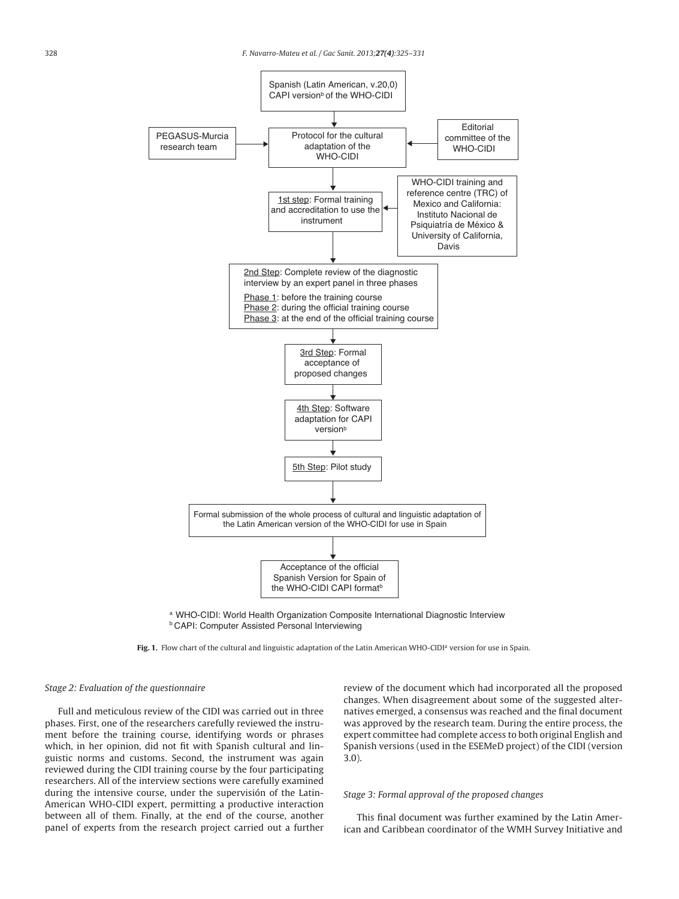<span id="page-3-0"></span>



Fig. 1. Flow chart of the cultural and linguistic adaptation of the Latin American WHO-CIDI<sup>a</sup> version for use in Spain.

#### Stage 2: Evaluation of the questionnaire

Full and meticulous review of the CIDI was carried out in three phases. First, one of the researchers carefully reviewed the instrument before the training course, identifying words or phrases which, in her opinion, did not fit with Spanish cultural and linguistic norms and customs. Second, the instrument was again reviewed during the CIDI training course by the four participating researchers. All of the interview sections were carefully examined during the intensive course, under the supervisión of the Latin-American WHO-CIDI expert, permitting a productive interaction between all of them. Finally, at the end of the course, another panel of experts from the research project carried out a further

review of the document which had incorporated all the proposed changes. When disagreement about some of the suggested alternatives emerged, a consensus was reached and the final document was approved by the research team. During the entire process, the expert committee had complete access to both original English and Spanish versions (used in the ESEMeD project) of the CIDI (version 3.0).

## Stage 3: Formal approval of the proposed changes

This final document was further examined by the Latin American and Caribbean coordinator of the WMH Survey Initiative and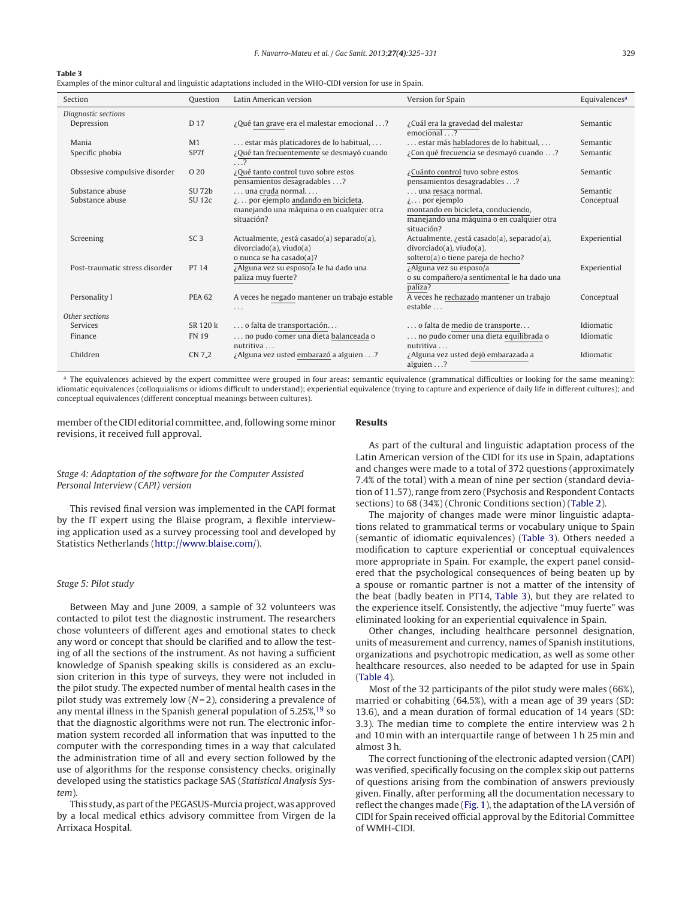#### **Table 3**

Examples of the minor cultural and linguistic adaptations included in the WHO-CIDI version for use in Spain.

| Section                        | Question        | Latin American version                                             | Version for Spain                                               | Equivalences <sup>a</sup> |
|--------------------------------|-----------------|--------------------------------------------------------------------|-----------------------------------------------------------------|---------------------------|
| Diagnostic sections            |                 |                                                                    |                                                                 |                           |
| Depression                     | D <sub>17</sub> | ¿Qué tan grave era el malestar emocional?                          | ¿Cuál era la gravedad del malestar<br>emocional ?               | Semantic                  |
| Mania                          | M1              | estar más platicadores de lo habitual,                             | estar más habladores de lo habitual,                            | Semantic                  |
| Specific phobia                | SP7f            | ¿Qué tan frecuentemente se desmayó cuando                          | ¿Con qué frecuencia se desmayó cuando ?                         | Semantic                  |
| Obssesive compulsive disorder  | O 20            | ¿Qué tanto control tuvo sobre estos<br>pensamientos desagradables? | ¿Cuánto control tuvo sobre estos<br>pensamientos desagradables? | Semantic                  |
| Substance abuse                | <b>SU 72b</b>   | una cruda normal                                                   | una resaca normal.                                              | Semantic                  |
| Substance abuse                | <b>SU 12c</b>   | i por ejemplo andando en bicicleta,                                | $\lambda$ por ejemplo                                           | Conceptual                |
|                                |                 | manejando una máquina o en cualquier otra                          | montando en bicicleta, conduciendo,                             |                           |
|                                |                 | situación?                                                         | manejando una máquina o en cualquier otra<br>situación?         |                           |
| Screening                      | SC <sub>3</sub> | Actualmente, ¿está casado(a) separado(a),                          | Actualmente, ¿está casado(a), separado(a),                      | Experiential              |
|                                |                 | $divorciado(a)$ , viudo $(a)$                                      | $divorciado(a)$ , viudo $(a)$ ,                                 |                           |
|                                |                 | o nunca se ha casado(a)?                                           | soltero(a) o tiene pareja de hecho?                             |                           |
| Post-traumatic stress disorder | PT 14           | ¿Alguna vez su esposo/a le ha dado una                             | ¿Alguna vez su esposo/a                                         | Experiential              |
|                                |                 | paliza muy fuerte?                                                 | o su compañero/a sentimental le ha dado una<br>paliza?          |                           |
| Personality I                  | <b>PEA 62</b>   | A veces he negado mantener un trabajo estable                      | A veces he rechazado mantener un trabajo                        | Conceptual                |
|                                |                 | .                                                                  | estable                                                         |                           |
| Other sections                 |                 |                                                                    |                                                                 |                           |
| Services                       | SR 120 k        | o falta de transportación                                          | o falta de medio de transporte                                  | Idiomatic                 |
| Finance                        | <b>FN 19</b>    | no pudo comer una dieta balanceada o                               | no pudo comer una dieta equilibrada o                           | Idiomatic                 |
|                                |                 | nutritiva                                                          | nutritiva                                                       |                           |
| Children                       | CN 7.2          | ¿Alguna vez usted embarazó a alguien?                              | ¿Alguna vez usted dejó embarazada a                             | Idiomatic                 |
|                                |                 |                                                                    | alguien?                                                        |                           |

<sup>a</sup> The equivalences achieved by the expert committee were grouped in four areas: semantic equivalence (grammatical difficulties or looking for the same meaning); idiomatic equivalences (colloquialisms or idioms difficult to understand); experiential equivalence (trying to capture and experience of daily life in different cultures); and conceptual equivalences (different conceptual meanings between cultures).

member of the CIDI editorial committee, and, following some minor revisions, it received full approval.

## **Results**

Stage 4: Adaptation of the software for the Computer Assisted Personal Interview (CAPI) version

This revised final version was implemented in the CAPI format by the IT expert using the Blaise program, a flexible interviewing application used as a survey processing tool and developed by Statistics Netherlands ([http://www.blaise.com/\)](http://www.blaise.com/).

## Stage 5: Pilot study

Between May and June 2009, a sample of 32 volunteers was contacted to pilot test the diagnostic instrument. The researchers chose volunteers of different ages and emotional states to check any word or concept that should be clarified and to allow the testing of all the sections of the instrument. As not having a sufficient knowledge of Spanish speaking skills is considered as an exclusion criterion in this type of surveys, they were not included in the pilot study. The expected number of mental health cases in the pilot study was extremely low  $(N=2)$ , considering a prevalence of any mental illness in the Spanish general population of 5.25%,<sup>19</sup> so that the diagnostic algorithms were not run. The electronic information system recorded all information that was inputted to the computer with the corresponding times in a way that calculated the administration time of all and every section followed by the use of algorithms for the response consistency checks, originally developed using the statistics package SAS (Statistical Analysis System).

This study, as part of the PEGASUS-Murcia project, was approved by a local medical ethics advisory committee from Virgen de la Arrixaca Hospital.

As part of the cultural and linguistic adaptation process of the Latin American version of the CIDI for its use in Spain, adaptations and changes were made to a total of 372 questions (approximately 7.4% of the total) with a mean of nine per section (standard deviation of 11.57), range from zero (Psychosis and Respondent Contacts sections) to 68 (34%) (Chronic Conditions section) [\(Table](#page-2-0) 2).

The majority of changes made were minor linguistic adaptations related to grammatical terms or vocabulary unique to Spain (semantic of idiomatic equivalences) (Table 3). Others needed a modification to capture experiential or conceptual equivalences more appropriate in Spain. For example, the expert panel considered that the psychological consequences of being beaten up by a spouse or romantic partner is not a matter of the intensity of the beat (badly beaten in PT14, Table 3), but they are related to the experience itself. Consistently, the adjective "muy fuerte" was eliminated looking for an experiential equivalence in Spain.

Other changes, including healthcare personnel designation, units of measurement and currency, names of Spanish institutions, organizations and psychotropic medication, as well as some other healthcare resources, also needed to be adapted for use in Spain [\(Table](#page-5-0) 4).

Most of the 32 participants of the pilot study were males (66%), married or cohabiting (64.5%), with a mean age of 39 years (SD: 13.6), and a mean duration of formal education of 14 years (SD: 3.3). The median time to complete the entire interview was 2 h and 10 min with an interquartile range of between 1 h 25 min and almost 3 h.

The correct functioning of the electronic adapted version (CAPI) was verified, specifically focusing on the complex skip out patterns of questions arising from the combination of answers previously given. Finally, after performing all the documentation necessary to reflect the changes made [\(Fig.](#page-3-0) 1), the adaptation of the LA versión of CIDI for Spain received official approval by the Editorial Committee of WMH-CIDI.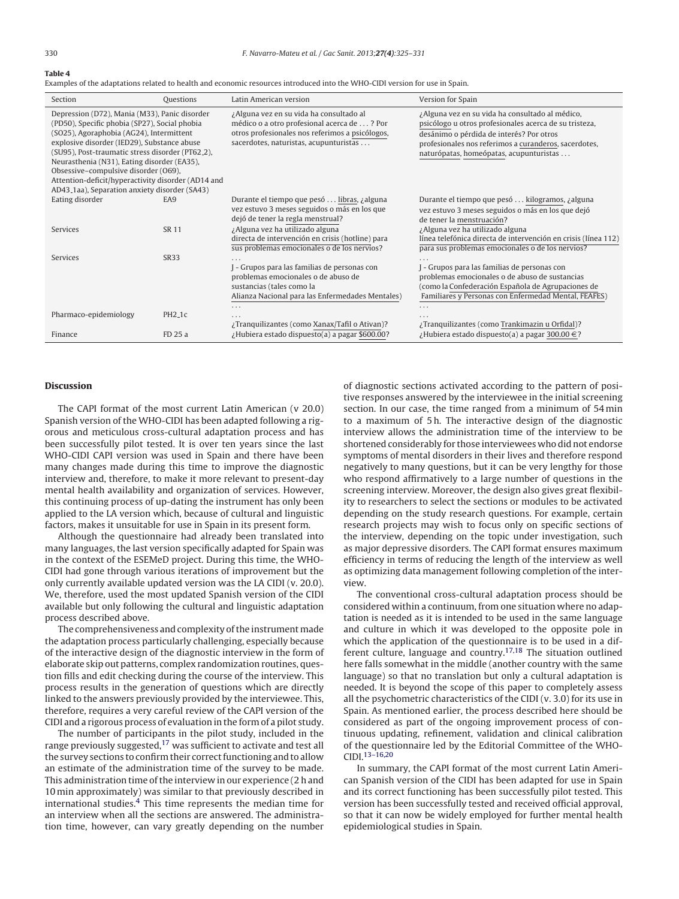# <span id="page-5-0"></span>**Table 4**

Examples of the adaptations related to health and economic resources introduced into the WHO-CIDI version for use in Spain.

| Section                                                                                                                                                                                                                                                                                                                                                                                                                                     | <b>Ouestions</b> | Latin American version                                                                                                                                                              | Version for Spain                                                                                                                                                                                                                                         |
|---------------------------------------------------------------------------------------------------------------------------------------------------------------------------------------------------------------------------------------------------------------------------------------------------------------------------------------------------------------------------------------------------------------------------------------------|------------------|-------------------------------------------------------------------------------------------------------------------------------------------------------------------------------------|-----------------------------------------------------------------------------------------------------------------------------------------------------------------------------------------------------------------------------------------------------------|
| Depression (D72), Mania (M33), Panic disorder<br>(PD50), Specific phobia (SP27), Social phobia<br>(SO25), Agoraphobia (AG24), Intermittent<br>explosive disorder (IED29), Substance abuse<br>(SU95), Post-traumatic stress disorder (PT62_2),<br>Neurasthenia (N31), Eating disorder (EA35),<br>Obsessive-compulsive disorder (O69),<br>Attention-deficit/hyperactivity disorder (AD14 and<br>AD43_1aa), Separation anxiety disorder (SA43) |                  | ¿Alguna vez en su vida ha consultado al<br>médico o a otro profesional acerca de ? Por<br>otros profesionales nos referimos a psicólogos,<br>sacerdotes, naturistas, acupunturistas | ¿Alguna vez en su vida ha consultado al médico,<br>psicólogo u otros profesionales acerca de su tristeza,<br>desánimo o pérdida de interés? Por otros<br>profesionales nos referimos a curanderos, sacerdotes,<br>naturópatas, homeópatas, acupunturistas |
| Eating disorder                                                                                                                                                                                                                                                                                                                                                                                                                             | EA9              | Durante el tiempo que pesó  libras, ¿alguna<br>vez estuvo 3 meses seguidos o más en los que<br>dejó de tener la regla menstrual?                                                    | Durante el tiempo que pesó  kilogramos, ¿alguna<br>vez estuvo 3 meses seguidos o más en los que dejó<br>de tener la menstruación?                                                                                                                         |
| Services                                                                                                                                                                                                                                                                                                                                                                                                                                    | <b>SR11</b>      | ¿Alguna vez ha utilizado alguna<br>directa de intervención en crisis (hotline) para<br>sus problemas emocionales o de los nervios?                                                  | ¿Alguna vez ha utilizado alguna<br>línea telefónica directa de intervención en crisis (línea 112)<br>para sus problemas emocionales o de los nervios?                                                                                                     |
| Services                                                                                                                                                                                                                                                                                                                                                                                                                                    | <b>SR33</b>      | .<br>J - Grupos para las familias de personas con<br>problemas emocionales o de abuso de<br>sustancias (tales como la<br>Alianza Nacional para las Enfermedades Mentales)           | J - Grupos para las familias de personas con<br>problemas emocionales o de abuso de sustancias<br>(como la Confederación Española de Agrupaciones de<br>Familiares y Personas con Enfermedad Mental, FEAFES)                                              |
| Pharmaco-epidemiology                                                                                                                                                                                                                                                                                                                                                                                                                       | $PH2_1c$         | .<br>.<br>¿Tranquilizantes (como Xanax/Tafil o Ativan)?                                                                                                                             | .<br>¿Tranquilizantes (como Trankimazin u Orfidal)?                                                                                                                                                                                                       |
| Finance                                                                                                                                                                                                                                                                                                                                                                                                                                     | FD 25 a          | ¿Hubiera estado dispuesto(a) a pagar \$600.00?                                                                                                                                      | ¿Hubiera estado dispuesto(a) a pagar 300.00 $\in$ ?                                                                                                                                                                                                       |

#### **Discussion**

The CAPI format of the most current Latin American (v 20.0) Spanish version of the WHO-CIDI has been adapted following a rigorous and meticulous cross-cultural adaptation process and has been successfully pilot tested. It is over ten years since the last WHO-CIDI CAPI version was used in Spain and there have been many changes made during this time to improve the diagnostic interview and, therefore, to make it more relevant to present-day mental health availability and organization of services. However, this continuing process of up-dating the instrument has only been applied to the LA version which, because of cultural and linguistic factors, makes it unsuitable for use in Spain in its present form.

Although the questionnaire had already been translated into many languages, the last version specifically adapted for Spain was in the context of the ESEMeD project. During this time, the WHO-CIDI had gone through various iterations of improvement but the only currently available updated version was the LA CIDI (v. 20.0). We, therefore, used the most updated Spanish version of the CIDI available but only following the cultural and linguistic adaptation process described above.

The comprehensiveness and complexity of the instrument made the adaptation process particularly challenging, especially because of the interactive design of the diagnostic interview in the form of elaborate skip out patterns, complex randomization routines, question fills and edit checking during the course of the interview. This process results in the generation of questions which are directly linked to the answers previously provided by the interviewee. This, therefore, requires a very careful review of the CAPI version of the CIDI and a rigorous process of evaluation in the form of a pilot study.

The number of participants in the pilot study, included in the range previously suggested,<sup>17</sup> was sufficient to activate and test all the survey sections to confirm their correct functioning and to allow an estimate of the administration time of the survey to be made. This administration time of the interview in our experience (2 h and 10 min approximately) was similar to that previously described in international studies.<sup>[4](#page-6-0)</sup> This time represents the median time for an interview when all the sections are answered. The administration time, however, can vary greatly depending on the number of diagnostic sections activated according to the pattern of positive responses answered by the interviewee in the initial screening section. In our case, the time ranged from a minimum of 54 min to a maximum of 5 h. The interactive design of the diagnostic interview allows the administration time of the interview to be shortened considerably for those interviewees who did not endorse symptoms of mental disorders in their lives and therefore respond negatively to many questions, but it can be very lengthy for those who respond affirmatively to a large number of questions in the screening interview. Moreover, the design also gives great flexibility to researchers to select the sections or modules to be activated depending on the study research questions. For example, certain research projects may wish to focus only on specific sections of the interview, depending on the topic under investigation, such as major depressive disorders. The CAPI format ensures maximum efficiency in terms of reducing the length of the interview as well as optimizing data management following completion of the interview.

The conventional cross-cultural adaptation process should be considered within a continuum, from one situation where no adaptation is needed as it is intended to be used in the same language and culture in which it was developed to the opposite pole in which the application of the questionnaire is to be used in a dif-ferent culture, language and country.<sup>[17,18](#page-6-0)</sup> The situation outlined here falls somewhat in the middle (another country with the same language) so that no translation but only a cultural adaptation is needed. It is beyond the scope of this paper to completely assess all the psychometric characteristics of the CIDI (v. 3.0) for its use in Spain. As mentioned earlier, the process described here should be considered as part of the ongoing improvement process of continuous updating, refinement, validation and clinical calibration of the questionnaire led by the Editorial Committee of the WHO-CIDI[.13–16,20](#page-6-0)

In summary, the CAPI format of the most current Latin American Spanish version of the CIDI has been adapted for use in Spain and its correct functioning has been successfully pilot tested. This version has been successfully tested and received official approval, so that it can now be widely employed for further mental health epidemiological studies in Spain.